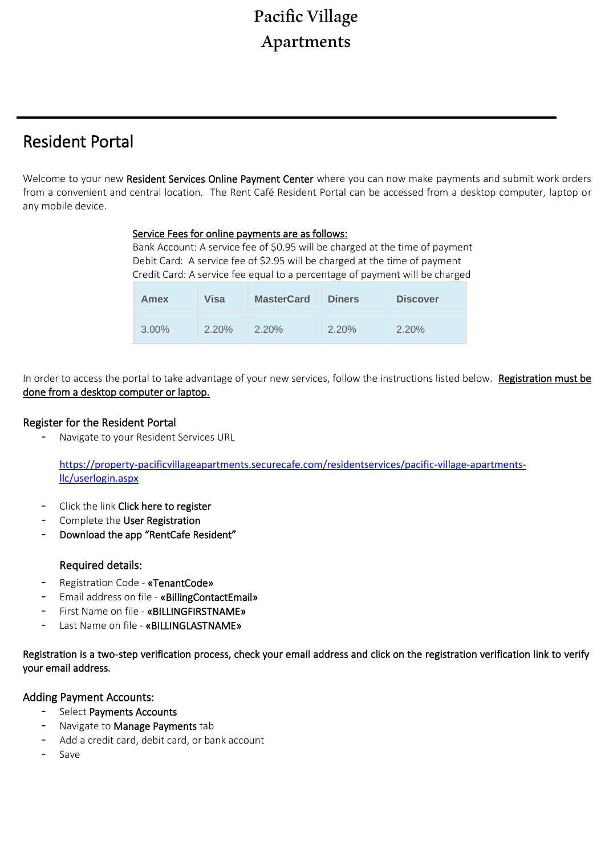# Pacific Village Apartments

# Resident Portal

 $\overline{a}$ 

Welcome to your new Resident Services Online Payment Center where you can now make payments and submit work orders from a convenient and central location. The Rent Café Resident Portal can be accessed from a desktop computer, laptop or any mobile device.

#### Service Fees for online payments are as follows:

Bank Account: A service fee of \$0.95 will be charged at the time of payment Debit Card: A service fee of \$2.95 will be charged at the time of payment Credit Card: A service fee equal to a percentage of payment will be charged

| Amex  | Visa     | <b>MasterCard</b> | <b>Diners</b> | <b>Discover</b> |
|-------|----------|-------------------|---------------|-----------------|
| 3.00% | $2.20\%$ | $2.20\%$          | $2.20\%$      | 2.20%           |

In order to access the portal to take advantage of your new services, follow the instructions listed below. Registration must be done from a desktop computer or laptop.

### Register for the Resident Portal

- Navigate to your Resident Services URL

[https://property-pacificvillageapartments.securecafe.com/residentservices/pacific-village-apartments](https://property-pacificvillageapartments.securecafe.com/residentservices/pacific-village-apartments-llc/userlogin.aspx)[llc/userlogin.aspx](https://property-pacificvillageapartments.securecafe.com/residentservices/pacific-village-apartments-llc/userlogin.aspx)

- Click the link Click here to register
- Complete the User Registration
- Download the app "RentCafe Resident"

# Required details:

- Registration Code «TenantCode»
- Email address on file «BillingContactEmail»
- First Name on file «BILLINGFIRSTNAME»
- Last Name on file «BILLINGLASTNAME»

Registration is a two-step verification process, check your email address and click on the registration verification link to verify your email address.

# Adding Payment Accounts:

- Select Payments Accounts
- Navigate to Manage Payments tab
- Add a credit card, debit card, or bank account
- Save